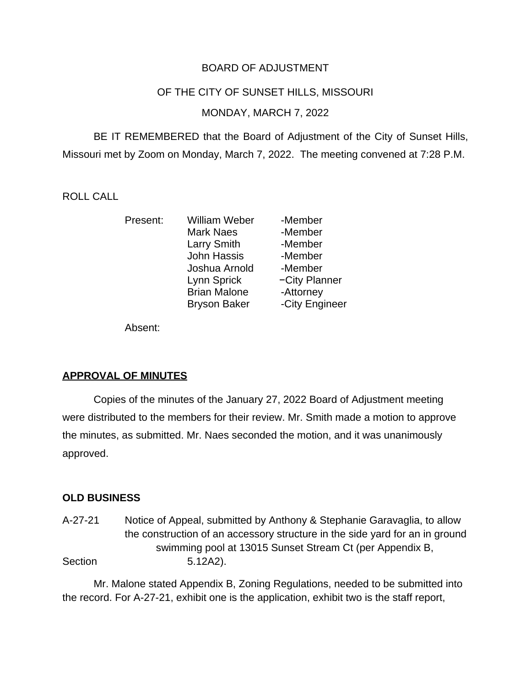## BOARD OF ADJUSTMENT

#### OF THE CITY OF SUNSET HILLS, MISSOURI

### MONDAY, MARCH 7, 2022

BE IT REMEMBERED that the Board of Adjustment of the City of Sunset Hills, Missouri met by Zoom on Monday, March 7, 2022. The meeting convened at 7:28 P.M.

### ROLL CALL

| William Weber       | -Member        |
|---------------------|----------------|
| <b>Mark Naes</b>    | -Member        |
| Larry Smith         | -Member        |
| <b>John Hassis</b>  | -Member        |
| Joshua Arnold       | -Member        |
| Lynn Sprick         | -City Planner  |
| <b>Brian Malone</b> | -Attorney      |
| <b>Bryson Baker</b> | -City Engineer |
|                     |                |

Absent:

### **APPROVAL OF MINUTES**

Copies of the minutes of the January 27, 2022 Board of Adjustment meeting were distributed to the members for their review. Mr. Smith made a motion to approve the minutes, as submitted. Mr. Naes seconded the motion, and it was unanimously approved.

### **OLD BUSINESS**

A-27-21 Notice of Appeal, submitted by Anthony & Stephanie Garavaglia, to allow the construction of an accessory structure in the side yard for an in ground swimming pool at 13015 Sunset Stream Ct (per Appendix B, Section 5.12A2).

Mr. Malone stated Appendix B, Zoning Regulations, needed to be submitted into the record. For A-27-21, exhibit one is the application, exhibit two is the staff report,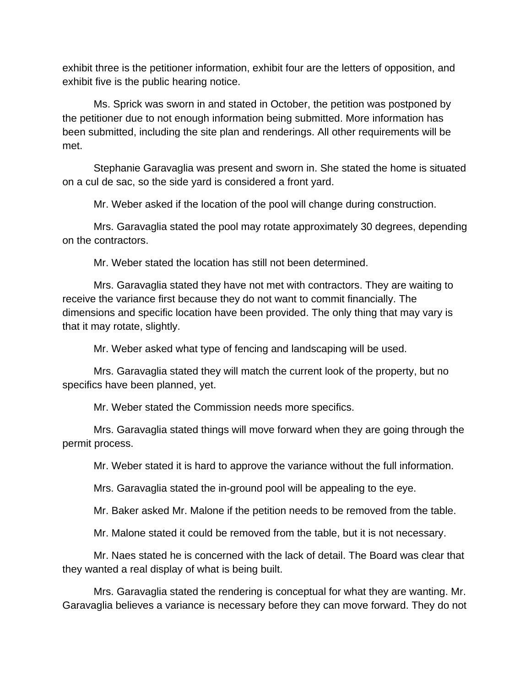exhibit three is the petitioner information, exhibit four are the letters of opposition, and exhibit five is the public hearing notice.

Ms. Sprick was sworn in and stated in October, the petition was postponed by the petitioner due to not enough information being submitted. More information has been submitted, including the site plan and renderings. All other requirements will be met.

Stephanie Garavaglia was present and sworn in. She stated the home is situated on a cul de sac, so the side yard is considered a front yard.

Mr. Weber asked if the location of the pool will change during construction.

Mrs. Garavaglia stated the pool may rotate approximately 30 degrees, depending on the contractors.

Mr. Weber stated the location has still not been determined.

Mrs. Garavaglia stated they have not met with contractors. They are waiting to receive the variance first because they do not want to commit financially. The dimensions and specific location have been provided. The only thing that may vary is that it may rotate, slightly.

Mr. Weber asked what type of fencing and landscaping will be used.

Mrs. Garavaglia stated they will match the current look of the property, but no specifics have been planned, yet.

Mr. Weber stated the Commission needs more specifics.

Mrs. Garavaglia stated things will move forward when they are going through the permit process.

Mr. Weber stated it is hard to approve the variance without the full information.

Mrs. Garavaglia stated the in-ground pool will be appealing to the eye.

Mr. Baker asked Mr. Malone if the petition needs to be removed from the table.

Mr. Malone stated it could be removed from the table, but it is not necessary.

Mr. Naes stated he is concerned with the lack of detail. The Board was clear that they wanted a real display of what is being built.

Mrs. Garavaglia stated the rendering is conceptual for what they are wanting. Mr. Garavaglia believes a variance is necessary before they can move forward. They do not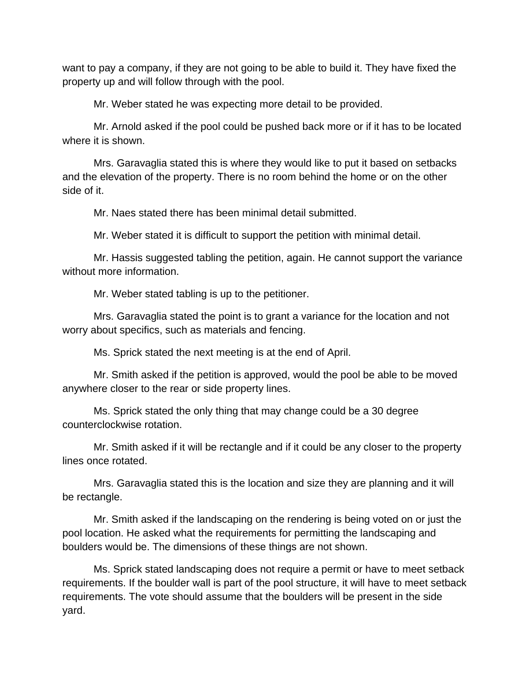want to pay a company, if they are not going to be able to build it. They have fixed the property up and will follow through with the pool.

Mr. Weber stated he was expecting more detail to be provided.

Mr. Arnold asked if the pool could be pushed back more or if it has to be located where it is shown.

Mrs. Garavaglia stated this is where they would like to put it based on setbacks and the elevation of the property. There is no room behind the home or on the other side of it.

Mr. Naes stated there has been minimal detail submitted.

Mr. Weber stated it is difficult to support the petition with minimal detail.

Mr. Hassis suggested tabling the petition, again. He cannot support the variance without more information.

Mr. Weber stated tabling is up to the petitioner.

Mrs. Garavaglia stated the point is to grant a variance for the location and not worry about specifics, such as materials and fencing.

Ms. Sprick stated the next meeting is at the end of April.

Mr. Smith asked if the petition is approved, would the pool be able to be moved anywhere closer to the rear or side property lines.

Ms. Sprick stated the only thing that may change could be a 30 degree counterclockwise rotation.

Mr. Smith asked if it will be rectangle and if it could be any closer to the property lines once rotated.

Mrs. Garavaglia stated this is the location and size they are planning and it will be rectangle.

Mr. Smith asked if the landscaping on the rendering is being voted on or just the pool location. He asked what the requirements for permitting the landscaping and boulders would be. The dimensions of these things are not shown.

Ms. Sprick stated landscaping does not require a permit or have to meet setback requirements. If the boulder wall is part of the pool structure, it will have to meet setback requirements. The vote should assume that the boulders will be present in the side yard.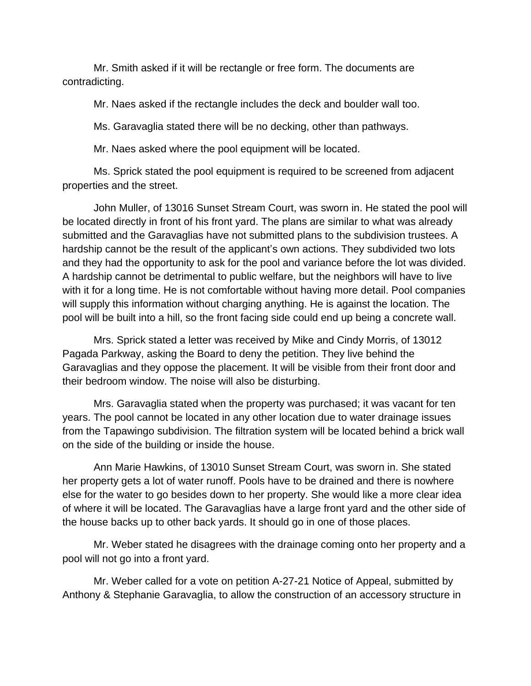Mr. Smith asked if it will be rectangle or free form. The documents are contradicting.

Mr. Naes asked if the rectangle includes the deck and boulder wall too.

Ms. Garavaglia stated there will be no decking, other than pathways.

Mr. Naes asked where the pool equipment will be located.

Ms. Sprick stated the pool equipment is required to be screened from adjacent properties and the street.

John Muller, of 13016 Sunset Stream Court, was sworn in. He stated the pool will be located directly in front of his front yard. The plans are similar to what was already submitted and the Garavaglias have not submitted plans to the subdivision trustees. A hardship cannot be the result of the applicant's own actions. They subdivided two lots and they had the opportunity to ask for the pool and variance before the lot was divided. A hardship cannot be detrimental to public welfare, but the neighbors will have to live with it for a long time. He is not comfortable without having more detail. Pool companies will supply this information without charging anything. He is against the location. The pool will be built into a hill, so the front facing side could end up being a concrete wall.

Mrs. Sprick stated a letter was received by Mike and Cindy Morris, of 13012 Pagada Parkway, asking the Board to deny the petition. They live behind the Garavaglias and they oppose the placement. It will be visible from their front door and their bedroom window. The noise will also be disturbing.

Mrs. Garavaglia stated when the property was purchased; it was vacant for ten years. The pool cannot be located in any other location due to water drainage issues from the Tapawingo subdivision. The filtration system will be located behind a brick wall on the side of the building or inside the house.

Ann Marie Hawkins, of 13010 Sunset Stream Court, was sworn in. She stated her property gets a lot of water runoff. Pools have to be drained and there is nowhere else for the water to go besides down to her property. She would like a more clear idea of where it will be located. The Garavaglias have a large front yard and the other side of the house backs up to other back yards. It should go in one of those places.

Mr. Weber stated he disagrees with the drainage coming onto her property and a pool will not go into a front yard.

Mr. Weber called for a vote on petition A-27-21 Notice of Appeal, submitted by Anthony & Stephanie Garavaglia, to allow the construction of an accessory structure in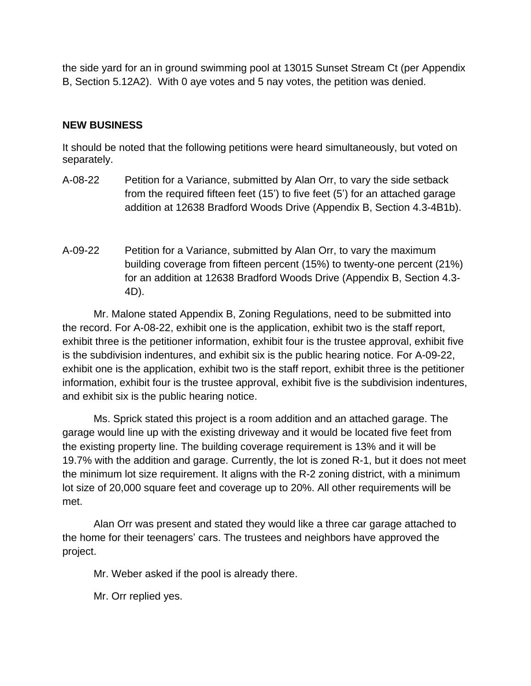the side yard for an in ground swimming pool at 13015 Sunset Stream Ct (per Appendix B, Section 5.12A2). With 0 aye votes and 5 nay votes, the petition was denied.

## **NEW BUSINESS**

It should be noted that the following petitions were heard simultaneously, but voted on separately.

- A-08-22 Petition for a Variance, submitted by Alan Orr, to vary the side setback from the required fifteen feet (15') to five feet (5') for an attached garage addition at 12638 Bradford Woods Drive (Appendix B, Section 4.3-4B1b).
- A-09-22 Petition for a Variance, submitted by Alan Orr, to vary the maximum building coverage from fifteen percent (15%) to twenty-one percent (21%) for an addition at 12638 Bradford Woods Drive (Appendix B, Section 4.3- 4D).

Mr. Malone stated Appendix B, Zoning Regulations, need to be submitted into the record. For A-08-22, exhibit one is the application, exhibit two is the staff report, exhibit three is the petitioner information, exhibit four is the trustee approval, exhibit five is the subdivision indentures, and exhibit six is the public hearing notice. For A-09-22, exhibit one is the application, exhibit two is the staff report, exhibit three is the petitioner information, exhibit four is the trustee approval, exhibit five is the subdivision indentures, and exhibit six is the public hearing notice.

Ms. Sprick stated this project is a room addition and an attached garage. The garage would line up with the existing driveway and it would be located five feet from the existing property line. The building coverage requirement is 13% and it will be 19.7% with the addition and garage. Currently, the lot is zoned R-1, but it does not meet the minimum lot size requirement. It aligns with the R-2 zoning district, with a minimum lot size of 20,000 square feet and coverage up to 20%. All other requirements will be met.

Alan Orr was present and stated they would like a three car garage attached to the home for their teenagers' cars. The trustees and neighbors have approved the project.

Mr. Weber asked if the pool is already there.

Mr. Orr replied yes.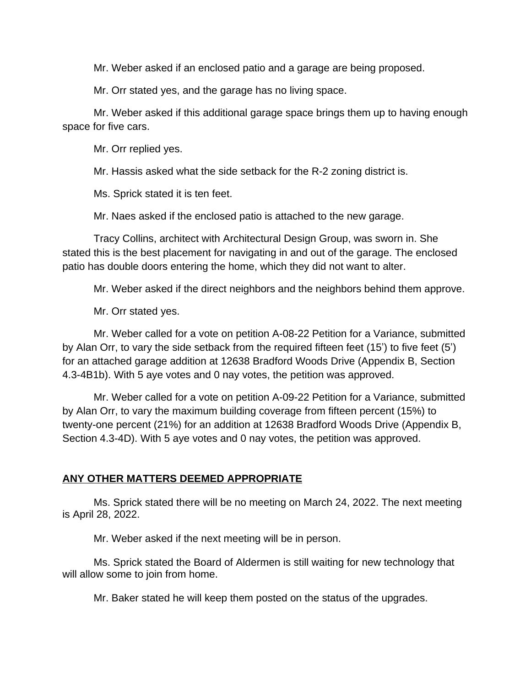Mr. Weber asked if an enclosed patio and a garage are being proposed.

Mr. Orr stated yes, and the garage has no living space.

Mr. Weber asked if this additional garage space brings them up to having enough space for five cars.

Mr. Orr replied yes.

Mr. Hassis asked what the side setback for the R-2 zoning district is.

Ms. Sprick stated it is ten feet.

Mr. Naes asked if the enclosed patio is attached to the new garage.

Tracy Collins, architect with Architectural Design Group, was sworn in. She stated this is the best placement for navigating in and out of the garage. The enclosed patio has double doors entering the home, which they did not want to alter.

Mr. Weber asked if the direct neighbors and the neighbors behind them approve.

Mr. Orr stated yes.

Mr. Weber called for a vote on petition A-08-22 Petition for a Variance, submitted by Alan Orr, to vary the side setback from the required fifteen feet (15') to five feet (5') for an attached garage addition at 12638 Bradford Woods Drive (Appendix B, Section 4.3-4B1b). With 5 aye votes and 0 nay votes, the petition was approved.

Mr. Weber called for a vote on petition A-09-22 Petition for a Variance, submitted by Alan Orr, to vary the maximum building coverage from fifteen percent (15%) to twenty-one percent (21%) for an addition at 12638 Bradford Woods Drive (Appendix B, Section 4.3-4D). With 5 aye votes and 0 nay votes, the petition was approved.

### **ANY OTHER MATTERS DEEMED APPROPRIATE**

Ms. Sprick stated there will be no meeting on March 24, 2022. The next meeting is April 28, 2022.

Mr. Weber asked if the next meeting will be in person.

Ms. Sprick stated the Board of Aldermen is still waiting for new technology that will allow some to join from home.

Mr. Baker stated he will keep them posted on the status of the upgrades.